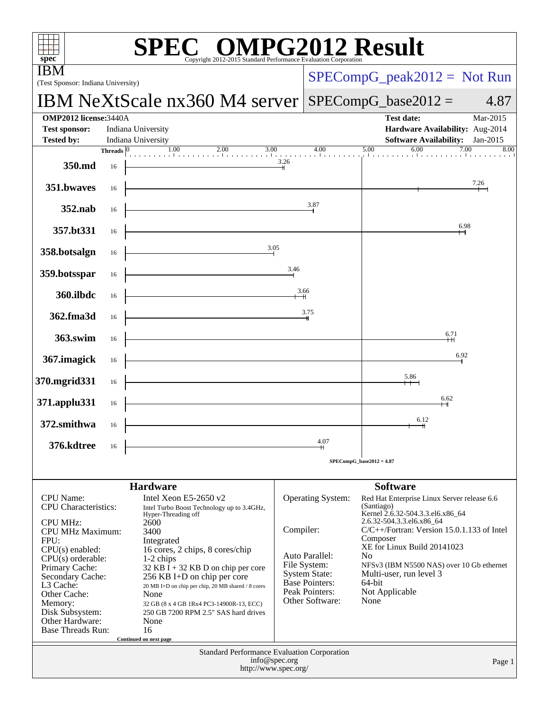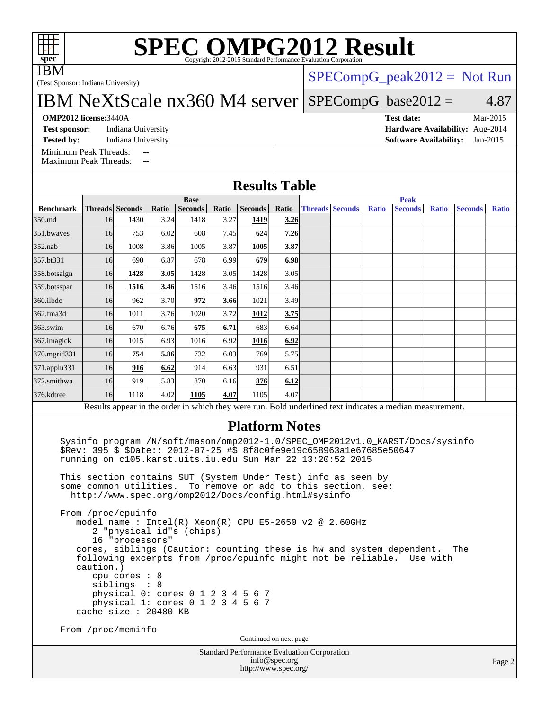IBM

# **[SPEC OMPG2012 Result](http://www.spec.org/auto/omp2012/Docs/result-fields.html#SPECOMPG2012Result)**

(Test Sponsor: Indiana University)

### [SPECompG\\_peak2012 =](http://www.spec.org/auto/omp2012/Docs/result-fields.html#SPECompGpeak2012) Not Run

IBM NeXtScale nx360 M4 server

 $SPECompG_base2012 = 4.87$  $SPECompG_base2012 = 4.87$ 

#### **[OMP2012 license:](http://www.spec.org/auto/omp2012/Docs/result-fields.html#OMP2012license)**3440A **[Test date:](http://www.spec.org/auto/omp2012/Docs/result-fields.html#Testdate)** Mar-2015

[Test sponsor:](http://www.spec.org/auto/omp2012/Docs/result-fields.html#Testsponsor) Indiana University **[Hardware Availability:](http://www.spec.org/auto/omp2012/Docs/result-fields.html#HardwareAvailability)** Aug-2014 **[Tested by:](http://www.spec.org/auto/omp2012/Docs/result-fields.html#Testedby)** Indiana University **[Software Availability:](http://www.spec.org/auto/omp2012/Docs/result-fields.html#SoftwareAvailability)** Jan-2015

[Minimum Peak Threads:](http://www.spec.org/auto/omp2012/Docs/result-fields.html#MinimumPeakThreads) --<br>Maximum Peak Threads: --

[Maximum Peak Threads:](http://www.spec.org/auto/omp2012/Docs/result-fields.html#MaximumPeakThreads)

|                  |                 |                                              |       |                          |       | <b>Results Table</b>                                                                                                                                            |       |  |                        |              |                                                                                                          |              |                |              |  |  |
|------------------|-----------------|----------------------------------------------|-------|--------------------------|-------|-----------------------------------------------------------------------------------------------------------------------------------------------------------------|-------|--|------------------------|--------------|----------------------------------------------------------------------------------------------------------|--------------|----------------|--------------|--|--|
|                  | <b>Base</b>     |                                              |       |                          |       |                                                                                                                                                                 |       |  | <b>Peak</b>            |              |                                                                                                          |              |                |              |  |  |
| <b>Benchmark</b> | Threads Seconds |                                              | Ratio | <b>Seconds</b>           | Ratio | <b>Seconds</b>                                                                                                                                                  | Ratio |  | <b>Threads Seconds</b> | <b>Ratio</b> | <b>Seconds</b>                                                                                           | <b>Ratio</b> | <b>Seconds</b> | <b>Ratio</b> |  |  |
| 350.md           | 16              | 1430                                         | 3.24  | 1418                     | 3.27  | 1419                                                                                                                                                            | 3.26  |  |                        |              |                                                                                                          |              |                |              |  |  |
| 351.bwayes       | 16              | 753                                          | 6.02  | 608                      | 7.45I | 624                                                                                                                                                             | 7.26  |  |                        |              |                                                                                                          |              |                |              |  |  |
| $352$ .nab       | 16              | 1008                                         | 3.86  | 1005                     | 3.87  | 1005                                                                                                                                                            | 3.87  |  |                        |              |                                                                                                          |              |                |              |  |  |
| 357.bt331        | 16              | 690                                          | 6.87  | 678                      | 6.99  | 679                                                                                                                                                             | 6.98  |  |                        |              |                                                                                                          |              |                |              |  |  |
| 358.botsalgn     | 16              | 1428                                         | 3.05  | 1428                     | 3.05  | 1428                                                                                                                                                            | 3.05  |  |                        |              |                                                                                                          |              |                |              |  |  |
| 359.botsspar     | 16              | 1516                                         | 3.46  | 1516                     | 3.46  | 1516                                                                                                                                                            | 3.46  |  |                        |              |                                                                                                          |              |                |              |  |  |
| 360.ilbdc        | 16              | 962                                          | 3.70  | 972                      | 3.66  | 1021                                                                                                                                                            | 3.49  |  |                        |              |                                                                                                          |              |                |              |  |  |
| 362.fma3d        | 16              | 1011                                         | 3.76  | 1020                     | 3.72  | 1012                                                                                                                                                            | 3.75  |  |                        |              |                                                                                                          |              |                |              |  |  |
| $363$ .swim      | 16              | 670                                          | 6.76  | 675                      | 6.71  | 683                                                                                                                                                             | 6.64  |  |                        |              |                                                                                                          |              |                |              |  |  |
| 367.imagick      | 16              | 1015                                         | 6.93  | 1016                     | 6.92  | 1016                                                                                                                                                            | 6.92  |  |                        |              |                                                                                                          |              |                |              |  |  |
| 370.mgrid331     | 16              | 754                                          | 5.86  | 732                      | 6.03  | 769                                                                                                                                                             | 5.75  |  |                        |              |                                                                                                          |              |                |              |  |  |
| 371.applu331     | 16              | 916                                          | 6.62  | 914                      | 6.63  | 931                                                                                                                                                             | 6.51  |  |                        |              |                                                                                                          |              |                |              |  |  |
| 372.smithwa      | 16              | 919                                          | 5.83  | 870                      | 6.16  | 876                                                                                                                                                             | 6.12  |  |                        |              |                                                                                                          |              |                |              |  |  |
| 376.kdtree       | 16              | 1118                                         | 4.02  | 1105                     | 4.07  | 1105                                                                                                                                                            | 4.07  |  |                        |              |                                                                                                          |              |                |              |  |  |
|                  |                 |                                              |       |                          |       |                                                                                                                                                                 |       |  |                        |              | Results appear in the order in which they were run. Bold underlined text indicates a median measurement. |              |                |              |  |  |
|                  |                 |                                              |       |                          |       | <b>Platform Notes</b><br>\$Rev: 395 \$ \$Date:: 2012-07-25 #\$ 8f8c0fe9e19c658963a1e67685e50647<br>running on c105. karst.uits.iu.edu Sun Mar 22 13:20:52 2015  |       |  |                        |              | Sysinfo program /N/soft/mason/omp2012-1.0/SPEC_OMP2012v1.0_KARST/Docs/sysinfo                            |              |                |              |  |  |
|                  |                 | some common utilities.<br>From /proc/cpuinfo |       |                          |       | This section contains SUT (System Under Test) info as seen by<br>To remove or add to this section, see:<br>http://www.spec.org/omp2012/Docs/config.html#sysinfo |       |  |                        |              |                                                                                                          |              |                |              |  |  |
|                  |                 | 16 "processors"                              |       | 2 "physical id"s (chips) |       | model name: $Intel(R)$ Xeon(R) CPU E5-2650 v2 @ 2.60GHz<br>following excerpts from /proc/cpuinfo might not be reliable.                                         |       |  |                        |              | cores, siblings (Caution: counting these is hw and system dependent.                                     | Use with     | The            |              |  |  |

 caution.) cpu cores : 8 siblings : 8 physical 0: cores 0 1 2 3 4 5 6 7 physical 1: cores 0 1 2 3 4 5 6 7 cache size : 20480 KB

From /proc/meminfo

Continued on next page

Standard Performance Evaluation Corporation [info@spec.org](mailto:info@spec.org) <http://www.spec.org/>

Page 2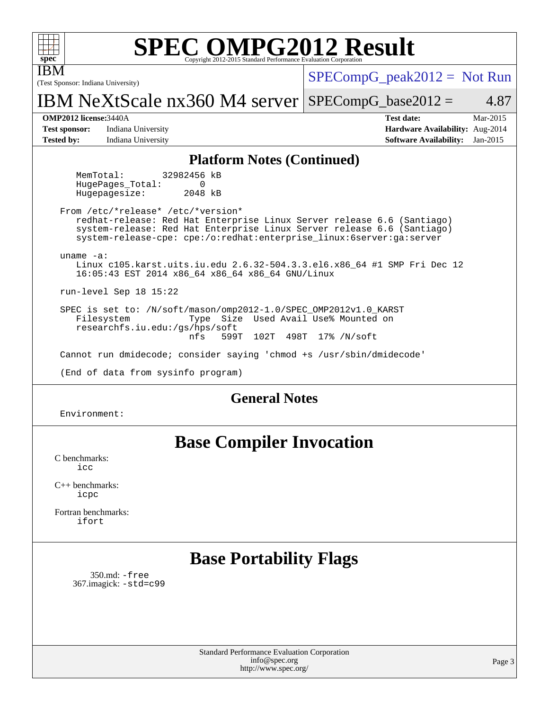| <b>SPEC OMPG2012 Result</b><br>spec <sup>®</sup><br>Convright 2012-2015 Standard Performance Evaluation Corporatio                                                                                                                                             |                                                                                                               |  |  |  |  |  |  |  |
|----------------------------------------------------------------------------------------------------------------------------------------------------------------------------------------------------------------------------------------------------------------|---------------------------------------------------------------------------------------------------------------|--|--|--|--|--|--|--|
| (Test Sponsor: Indiana University)                                                                                                                                                                                                                             | $SPECompG_peak2012 = Not Run$                                                                                 |  |  |  |  |  |  |  |
| IBM NeXtScale $nx360$ M4 server SPECompG_base2012 =                                                                                                                                                                                                            | 4.87                                                                                                          |  |  |  |  |  |  |  |
| <b>OMP2012 license: 3440A</b><br><b>Test sponsor:</b><br>Indiana University<br>Indiana University<br><b>Tested by:</b>                                                                                                                                         | <b>Test date:</b><br>Mar-2015<br>Hardware Availability: Aug-2014<br><b>Software Availability:</b><br>Jan-2015 |  |  |  |  |  |  |  |
| <b>Platform Notes (Continued)</b>                                                                                                                                                                                                                              |                                                                                                               |  |  |  |  |  |  |  |
| 32982456 kB<br>MemTotal:<br>$\Omega$<br>HugePages Total:<br>Hugepagesize:<br>2048 kB                                                                                                                                                                           |                                                                                                               |  |  |  |  |  |  |  |
| From /etc/*release* /etc/*version*<br>redhat-release: Red Hat Enterprise Linux Server release 6.6 (Santiago)<br>system-release: Red Hat Enterprise Linux Server release 6.6 (Santiago)<br>system-release-cpe: cpe:/o:redhat:enterprise_linux:6server:ga:server |                                                                                                               |  |  |  |  |  |  |  |
| uname $-a$ :<br>Linux c105.karst.uits.iu.edu 2.6.32-504.3.3.el6.x86_64 #1 SMP Fri Dec 12<br>16:05:43 EST 2014 x86_64 x86_64 x86_64 GNU/Linux                                                                                                                   |                                                                                                               |  |  |  |  |  |  |  |
| run-level Sep 18 15:22                                                                                                                                                                                                                                         |                                                                                                               |  |  |  |  |  |  |  |
| SPEC is set to: /N/soft/mason/omp2012-1.0/SPEC_OMP2012v1.0_KARST<br>Type Size Used Avail Use% Mounted on<br>Filesystem<br>researchfs.iu.edu:/qs/hps/soft<br>nfs<br>599T<br>102T 498T<br>17% /N/soft                                                            |                                                                                                               |  |  |  |  |  |  |  |
| Cannot run dmidecode; consider saying 'chmod +s /usr/sbin/dmidecode'                                                                                                                                                                                           |                                                                                                               |  |  |  |  |  |  |  |
| (End of data from sysinfo program)                                                                                                                                                                                                                             |                                                                                                               |  |  |  |  |  |  |  |
| <b>General Notes</b>                                                                                                                                                                                                                                           |                                                                                                               |  |  |  |  |  |  |  |
| Environment:                                                                                                                                                                                                                                                   |                                                                                                               |  |  |  |  |  |  |  |
| <b>Base Compiler Invocation</b><br>C benchmarks:<br>icc                                                                                                                                                                                                        |                                                                                                               |  |  |  |  |  |  |  |

[C++ benchmarks:](http://www.spec.org/auto/omp2012/Docs/result-fields.html#CXXbenchmarks) [icpc](http://www.spec.org/omp2012/results/res2015q2/omp2012-20150327-00061.flags.html#user_CXXbase_intel_icpc_2d899f8d163502b12eb4a60069f80c1c)

[Fortran benchmarks](http://www.spec.org/auto/omp2012/Docs/result-fields.html#Fortranbenchmarks): [ifort](http://www.spec.org/omp2012/results/res2015q2/omp2012-20150327-00061.flags.html#user_FCbase_intel_ifort_8a5e5e06b19a251bdeaf8fdab5d62f20)

## **[Base Portability Flags](http://www.spec.org/auto/omp2012/Docs/result-fields.html#BasePortabilityFlags)**

 350.md: [-free](http://www.spec.org/omp2012/results/res2015q2/omp2012-20150327-00061.flags.html#user_baseFPORTABILITY350_md_f-FR_e51be0673775d2012b3310fa5323f530) 367.imagick: [-std=c99](http://www.spec.org/omp2012/results/res2015q2/omp2012-20150327-00061.flags.html#user_baseCPORTABILITY367_imagick_f-std_2ec6533b6e06f1c4a6c9b78d9e9cde24)

> Standard Performance Evaluation Corporation [info@spec.org](mailto:info@spec.org) <http://www.spec.org/>